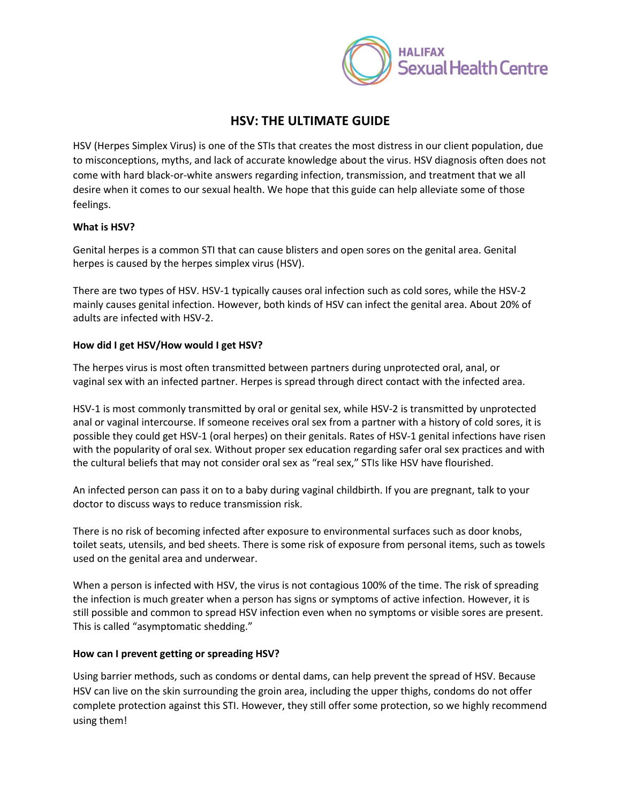

# **HSV: THE ULTIMATE GUIDE**

HSV (Herpes Simplex Virus) is one of the STIs that creates the most distress in our client population, due to misconceptions, myths, and lack of accurate knowledge about the virus. HSV diagnosis often does not come with hard black-or-white answers regarding infection, transmission, and treatment that we all desire when it comes to our sexual health. We hope that this guide can help alleviate some of those feelings.

# **What is HSV?**

Genital herpes is a common STI that can cause blisters and open sores on the genital area. Genital herpes is caused by the herpes simplex virus (HSV).

There are two types of HSV. HSV-1 typically causes oral infection such as cold sores, while the HSV-2 mainly causes genital infection. However, both kinds of HSV can infect the genital area. About 20% of adults are infected with HSV-2.

# **How did I get HSV/How would I get HSV?**

The herpes virus is most often transmitted between partners during unprotected oral, anal, or vaginal sex with an infected partner. Herpes is spread through direct contact with the infected area.

HSV-1 is most commonly transmitted by oral or genital sex, while HSV-2 is transmitted by unprotected anal or vaginal intercourse. If someone receives oral sex from a partner with a history of cold sores, it is possible they could get HSV-1 (oral herpes) on their genitals. Rates of HSV-1 genital infections have risen with the popularity of oral sex. Without proper sex education regarding safer oral sex practices and with the cultural beliefs that may not consider oral sex as "real sex," STIs like HSV have flourished.

An infected person can pass it on to a baby during vaginal childbirth. If you are pregnant, talk to your doctor to discuss ways to reduce transmission risk.

There is no risk of becoming infected after exposure to environmental surfaces such as door knobs, toilet seats, utensils, and bed sheets. There is some risk of exposure from personal items, such as towels used on the genital area and underwear.

When a person is infected with HSV, the virus is not contagious 100% of the time. The risk of spreading the infection is much greater when a person has signs or symptoms of active infection. However, it is still possible and common to spread HSV infection even when no symptoms or visible sores are present. This is called "asymptomatic shedding."

#### **How can I prevent getting or spreading HSV?**

Using barrier methods, such as condoms or dental dams, can help prevent the spread of HSV. Because HSV can live on the skin surrounding the groin area, including the upper thighs, condoms do not offer complete protection against this STI. However, they still offer some protection, so we highly recommend using them!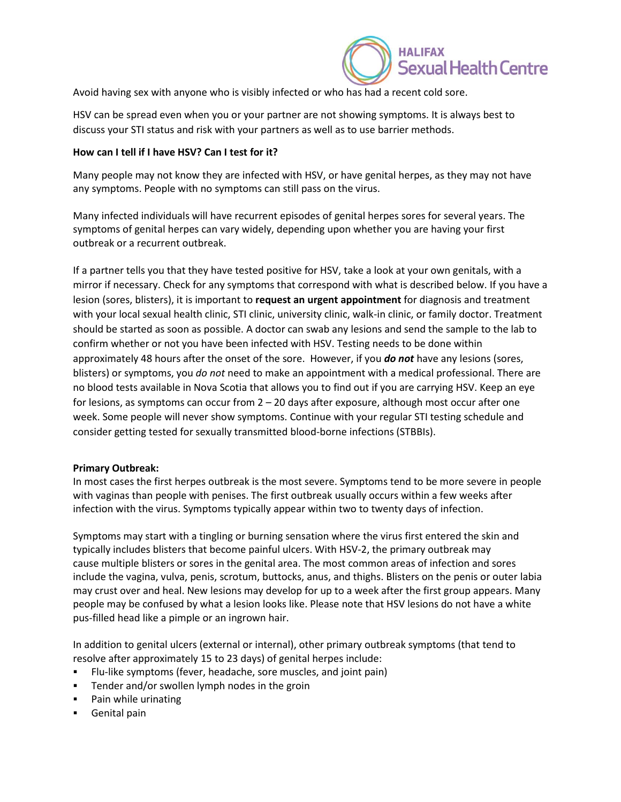

Avoid having sex with anyone who is visibly infected or who has had a recent cold sore.

HSV can be spread even when you or your partner are not showing symptoms. It is always best to discuss your STI status and risk with your partners as well as to use barrier methods.

#### **How can I tell if I have HSV? Can I test for it?**

Many people may not know they are infected with HSV, or have genital herpes, as they may not have any symptoms. People with no symptoms can still pass on the virus.

Many infected individuals will have recurrent episodes of genital herpes sores for several years. The symptoms of genital herpes can vary widely, depending upon whether you are having your first outbreak or a recurrent outbreak.

If a partner tells you that they have tested positive for HSV, take a look at your own genitals, with a mirror if necessary. Check for any symptoms that correspond with what is described below. If you have a lesion (sores, blisters), it is important to **request an urgent appointment** for diagnosis and treatment with your local sexual health clinic, STI clinic, university clinic, walk-in clinic, or family doctor. Treatment should be started as soon as possible. A doctor can swab any lesions and send the sample to the lab to confirm whether or not you have been infected with HSV. Testing needs to be done within approximately 48 hours after the onset of the sore. However, if you *do not* have any lesions (sores, blisters) or symptoms, you *do not* need to make an appointment with a medical professional. There are no blood tests available in Nova Scotia that allows you to find out if you are carrying HSV. Keep an eye for lesions, as symptoms can occur from  $2 - 20$  days after exposure, although most occur after one week. Some people will never show symptoms. Continue with your regular STI testing schedule and consider getting tested for sexually transmitted blood-borne infections (STBBIs).

#### **Primary Outbreak:**

In most cases the first herpes outbreak is the most severe. Symptoms tend to be more severe in people with vaginas than people with penises. The first outbreak usually occurs within a few weeks after infection with the virus. Symptoms typically appear within two to twenty days of infection.

Symptoms may start with a tingling or burning sensation where the virus first entered the skin and typically includes blisters that become painful ulcers. With HSV-2, the primary outbreak may cause multiple blisters or sores in the genital area. The most common areas of infection and sores include the vagina, vulva, penis, scrotum, buttocks, anus, and thighs. Blisters on the penis or outer labia may crust over and heal. New lesions may develop for up to a week after the first group appears. Many people may be confused by what a lesion looks like. Please note that HSV lesions do not have a white pus-filled head like a pimple or an ingrown hair.

In addition to genital ulcers (external or internal), other primary outbreak symptoms (that tend to resolve after approximately 15 to 23 days) of genital herpes include:

- Flu-like symptoms (fever, headache, sore muscles, and joint pain)
- **•** Tender and/or swollen lymph nodes in the groin
- Pain while urinating
- **•** Genital pain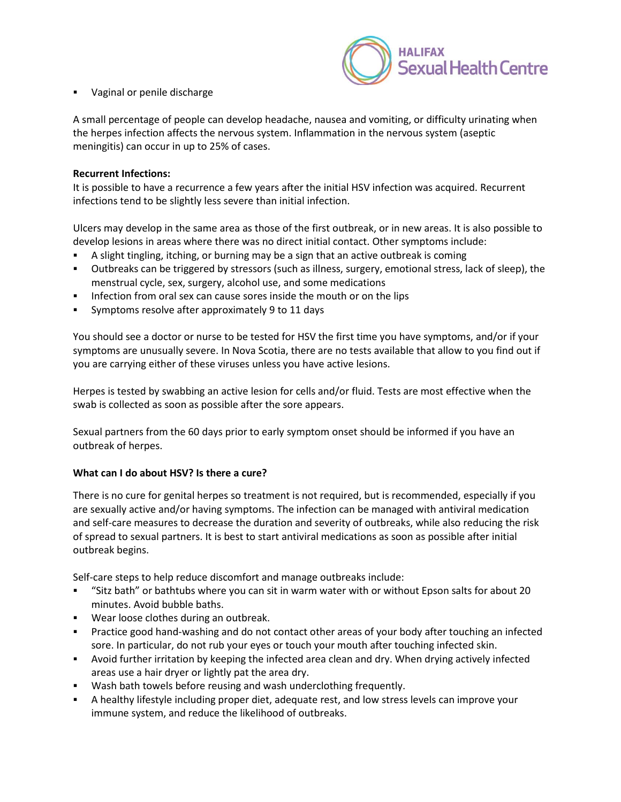

Vaginal or penile discharge

A small percentage of people can develop headache, nausea and vomiting, or difficulty urinating when the herpes infection affects the nervous system. Inflammation in the nervous system (aseptic meningitis) can occur in up to 25% of cases.

#### **Recurrent Infections:**

It is possible to have a recurrence a few years after the initial HSV infection was acquired. Recurrent infections tend to be slightly less severe than initial infection.

Ulcers may develop in the same area as those of the first outbreak, or in new areas. It is also possible to develop lesions in areas where there was no direct initial contact. Other symptoms include:

- A slight tingling, itching, or burning may be a sign that an active outbreak is coming
- Outbreaks can be triggered by stressors (such as illness, surgery, emotional stress, lack of sleep), the menstrual cycle, sex, surgery, alcohol use, and some medications
- **•** Infection from oral sex can cause sores inside the mouth or on the lips
- Symptoms resolve after approximately 9 to 11 days

You should see a doctor or nurse to be tested for HSV the first time you have symptoms, and/or if your symptoms are unusually severe. In Nova Scotia, there are no tests available that allow to you find out if you are carrying either of these viruses unless you have active lesions.

Herpes is tested by swabbing an active lesion for cells and/or fluid. Tests are most effective when the swab is collected as soon as possible after the sore appears.

Sexual partners from the 60 days prior to early symptom onset should be informed if you have an outbreak of herpes.

#### **What can I do about HSV? Is there a cure?**

There is no cure for genital herpes so treatment is not required, but is recommended, especially if you are sexually active and/or having symptoms. The infection can be managed with antiviral medication and self-care measures to decrease the duration and severity of outbreaks, while also reducing the risk of spread to sexual partners. It is best to start antiviral medications as soon as possible after initial outbreak begins.

Self-care steps to help reduce discomfort and manage outbreaks include:

- "Sitz bath" or bathtubs where you can sit in warm water with or without Epson salts for about 20 minutes. Avoid bubble baths.
- Wear loose clothes during an outbreak.
- Practice good hand-washing and do not contact other areas of your body after touching an infected sore. In particular, do not rub your eyes or touch your mouth after touching infected skin.
- Avoid further irritation by keeping the infected area clean and dry. When drying actively infected areas use a hair dryer or lightly pat the area dry.
- Wash bath towels before reusing and wash underclothing frequently.
- A healthy lifestyle including proper diet, adequate rest, and low stress levels can improve your immune system, and reduce the likelihood of outbreaks.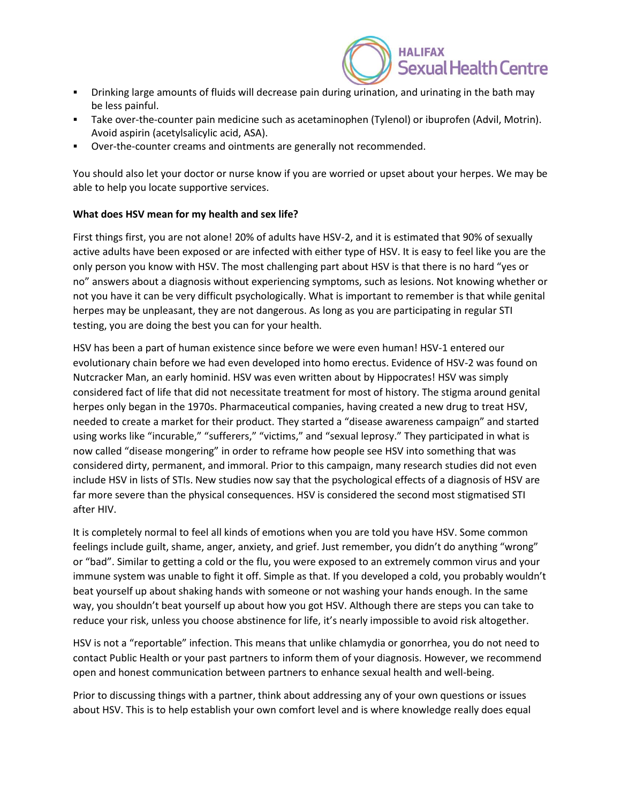

- Drinking large amounts of fluids will decrease pain during urination, and urinating in the bath may be less painful.
- **•** Take over-the-counter pain medicine such as acetaminophen (Tylenol) or ibuprofen (Advil, Motrin). Avoid aspirin (acetylsalicylic acid, ASA).
- Over-the-counter creams and ointments are generally not recommended.

You should also let your doctor or nurse know if you are worried or upset about your herpes. We may be able to help you locate supportive services.

# **What does HSV mean for my health and sex life?**

First things first, you are not alone! 20% of adults have HSV-2, and it is estimated that 90% of sexually active adults have been exposed or are infected with either type of HSV. It is easy to feel like you are the only person you know with HSV. The most challenging part about HSV is that there is no hard "yes or no" answers about a diagnosis without experiencing symptoms, such as lesions. Not knowing whether or not you have it can be very difficult psychologically. What is important to remember is that while genital herpes may be unpleasant, they are not dangerous. As long as you are participating in regular STI testing, you are doing the best you can for your health.

HSV has been a part of human existence since before we were even human! HSV-1 entered our evolutionary chain before we had even developed into homo erectus. Evidence of HSV-2 was found on Nutcracker Man, an early hominid. HSV was even written about by Hippocrates! HSV was simply considered fact of life that did not necessitate treatment for most of history. The stigma around genital herpes only began in the 1970s. Pharmaceutical companies, having created a new drug to treat HSV, needed to create a market for their product. They started a "disease awareness campaign" and started using works like "incurable," "sufferers," "victims," and "sexual leprosy." They participated in what is now called "disease mongering" in order to reframe how people see HSV into something that was considered dirty, permanent, and immoral. Prior to this campaign, many research studies did not even include HSV in lists of STIs. New studies now say that the psychological effects of a diagnosis of HSV are far more severe than the physical consequences. HSV is considered the second most stigmatised STI after HIV.

It is completely normal to feel all kinds of emotions when you are told you have HSV. Some common feelings include guilt, shame, anger, anxiety, and grief. Just remember, you didn't do anything "wrong" or "bad". Similar to getting a cold or the flu, you were exposed to an extremely common virus and your immune system was unable to fight it off. Simple as that. If you developed a cold, you probably wouldn't beat yourself up about shaking hands with someone or not washing your hands enough. In the same way, you shouldn't beat yourself up about how you got HSV. Although there are steps you can take to reduce your risk, unless you choose abstinence for life, it's nearly impossible to avoid risk altogether.

HSV is not a "reportable" infection. This means that unlike chlamydia or gonorrhea, you do not need to contact Public Health or your past partners to inform them of your diagnosis. However, we recommend open and honest communication between partners to enhance sexual health and well-being.

Prior to discussing things with a partner, think about addressing any of your own questions or issues about HSV. This is to help establish your own comfort level and is where knowledge really does equal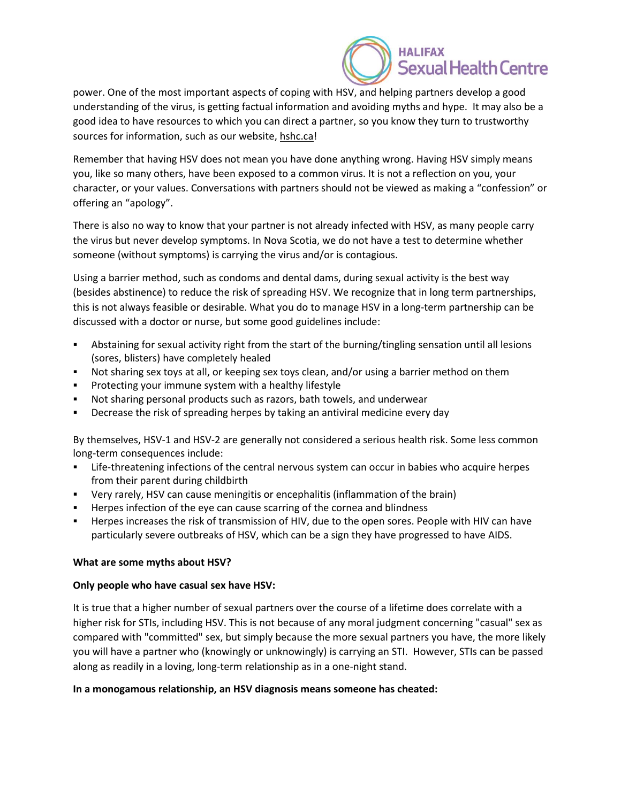

power. One of the most important aspects of coping with HSV, and helping partners develop a good understanding of the virus, is getting factual information and avoiding myths and hype. It may also be a good idea to have resources to which you can direct a partner, so you know they turn to trustworthy sources for information, such as our website, hshc.ca!

Remember that having HSV does not mean you have done anything wrong. Having HSV simply means you, like so many others, have been exposed to a common virus. It is not a reflection on you, your character, or your values. Conversations with partners should not be viewed as making a "confession" or offering an "apology".

There is also no way to know that your partner is not already infected with HSV, as many people carry the virus but never develop symptoms. In Nova Scotia, we do not have a test to determine whether someone (without symptoms) is carrying the virus and/or is contagious.

Using a barrier method, such as condoms and dental dams, during sexual activity is the best way (besides abstinence) to reduce the risk of spreading HSV. We recognize that in long term partnerships, this is not always feasible or desirable. What you do to manage HSV in a long-term partnership can be discussed with a doctor or nurse, but some good guidelines include:

- Abstaining for sexual activity right from the start of the burning/tingling sensation until all lesions (sores, blisters) have completely healed
- **•** Not sharing sex toys at all, or keeping sex toys clean, and/or using a barrier method on them
- Protecting your immune system with a healthy lifestyle
- Not sharing personal products such as razors, bath towels, and underwear
- **EXP** Decrease the risk of spreading herpes by taking an antiviral medicine every day

By themselves, HSV-1 and HSV-2 are generally not considered a serious health risk. Some less common long-term consequences include:

- **EXECT LIFE-threatening infections of the central nervous system can occur in babies who acquire herpes** from their parent during childbirth
- Very rarely, HSV can cause meningitis or encephalitis (inflammation of the brain)
- Herpes infection of the eye can cause scarring of the cornea and blindness
- Herpes increases the risk of transmission of HIV, due to the open sores. People with HIV can have particularly severe outbreaks of HSV, which can be a sign they have progressed to have AIDS.

#### **What are some myths about HSV?**

#### **Only people who have casual sex have HSV:**

It is true that a higher number of sexual partners over the course of a lifetime does correlate with a higher risk for STIs, including HSV. This is not because of any moral judgment concerning "casual" sex as compared with "committed" sex, but simply because the more sexual partners you have, the more likely you will have a partner who (knowingly or unknowingly) is carrying an STI. However, STIs can be passed along as readily in a loving, long-term relationship as in a one-night stand.

#### **In a monogamous relationship, an HSV diagnosis means someone has cheated:**